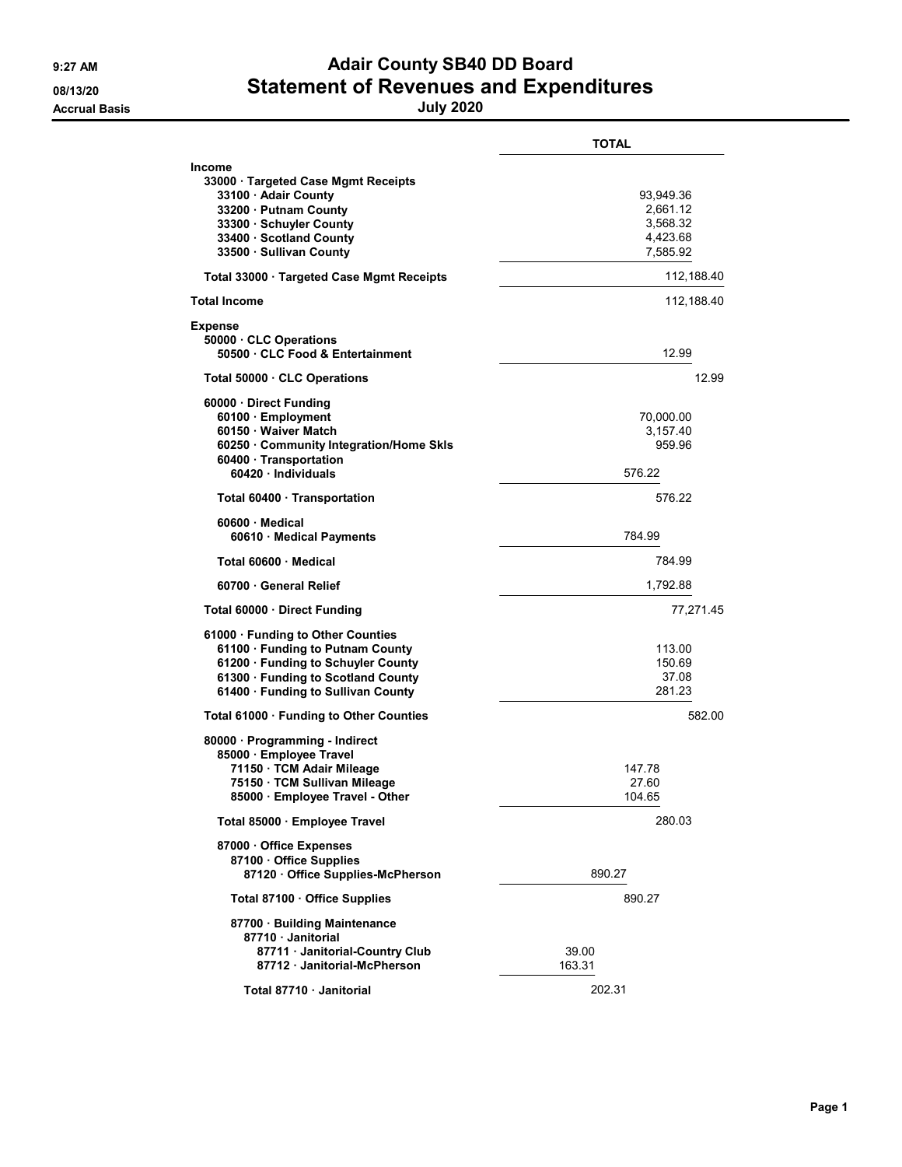## 9:27 AM **Adair County SB40 DD Board** 08/13/20 08/13/20 **Statement of Revenues and Expenditures**

|                                                                                                                                                                                         | <b>TOTAL</b>                                              |
|-----------------------------------------------------------------------------------------------------------------------------------------------------------------------------------------|-----------------------------------------------------------|
| <b>Income</b><br>33000 · Targeted Case Mgmt Receipts<br>33100 · Adair County<br>33200 · Putnam County<br>33300 · Schuyler County<br>33400 · Scotland County<br>33500 · Sullivan County  | 93,949.36<br>2,661.12<br>3,568.32<br>4.423.68<br>7,585.92 |
| Total 33000 · Targeted Case Mgmt Receipts                                                                                                                                               | 112,188.40                                                |
| <b>Total Income</b>                                                                                                                                                                     | 112,188.40                                                |
| <b>Expense</b><br>50000 CLC Operations<br>50500 · CLC Food & Entertainment                                                                                                              | 12.99                                                     |
| Total 50000 CLC Operations                                                                                                                                                              | 12.99                                                     |
| 60000 · Direct Funding<br>60100 · Employment<br>60150 · Waiver Match<br>60250 · Community Integration/Home Skls<br>60400 · Transportation<br>$60420 \cdot$ Individuals                  | 70,000.00<br>3,157.40<br>959.96<br>576.22                 |
| Total 60400 · Transportation                                                                                                                                                            | 576.22                                                    |
| 60600 · Medical<br>60610 Medical Payments                                                                                                                                               | 784.99                                                    |
| Total 60600 · Medical                                                                                                                                                                   | 784.99                                                    |
| 60700 General Relief                                                                                                                                                                    | 1,792.88                                                  |
| Total 60000 Direct Funding                                                                                                                                                              | 77,271.45                                                 |
| 61000 · Funding to Other Counties<br>61100 · Funding to Putnam County<br>61200 · Funding to Schuyler County<br>61300 · Funding to Scotland County<br>61400 · Funding to Sullivan County | 113.00<br>150.69<br>37.08<br>281.23                       |
| Total 61000 · Funding to Other Counties                                                                                                                                                 | 582.00                                                    |
| 80000 · Programming - Indirect<br>85000 · Employee Travel<br>71150 · TCM Adair Mileage<br>75150 · TCM Sullivan Mileage<br>85000 · Employee Travel - Other                               | 147.78<br>27.60<br>104.65                                 |
| Total 85000 · Employee Travel                                                                                                                                                           | 280.03                                                    |
| 87000 · Office Expenses<br>87100 Office Supplies<br>87120 Office Supplies-McPherson                                                                                                     | 890.27                                                    |
| Total 87100 · Office Supplies                                                                                                                                                           | 890.27                                                    |
| 87700 · Building Maintenance<br>87710 · Janitorial<br>87711 · Janitorial-Country Club<br>87712 Janitorial-McPherson                                                                     | 39.00<br>163.31                                           |
| Total 87710 · Janitorial                                                                                                                                                                | 202.31                                                    |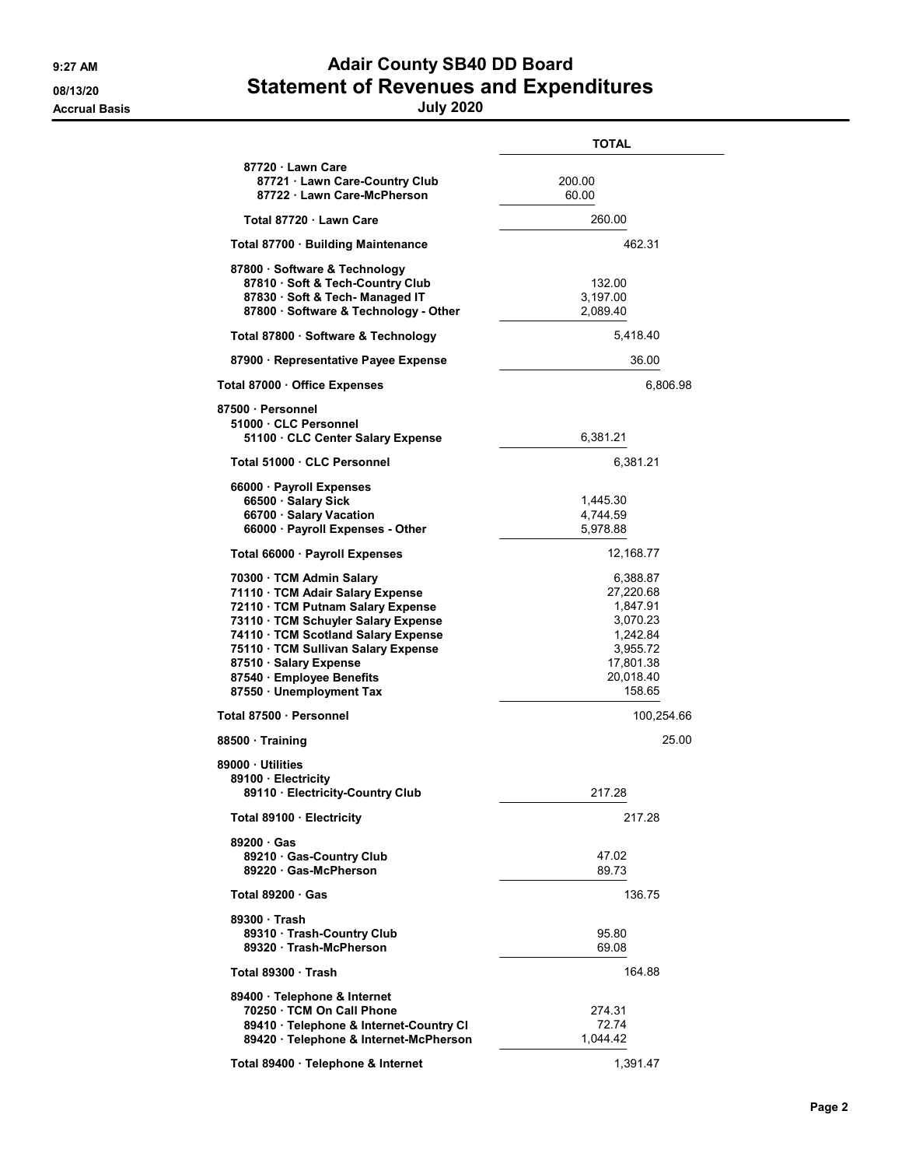## 9:27 AM **Adair County SB40 DD Board** 08/13/20 Statement of Revenues and Expenditures

|                                                                                                                                                                                                                                                                                                           | <b>TOTAL</b>                                                                                              |
|-----------------------------------------------------------------------------------------------------------------------------------------------------------------------------------------------------------------------------------------------------------------------------------------------------------|-----------------------------------------------------------------------------------------------------------|
| 87720 Lawn Care<br>87721 Lawn Care-Country Club<br>87722 Lawn Care-McPherson                                                                                                                                                                                                                              | 200.00<br>60.00                                                                                           |
| Total 87720 · Lawn Care                                                                                                                                                                                                                                                                                   | 260.00                                                                                                    |
| Total 87700 · Building Maintenance                                                                                                                                                                                                                                                                        | 462.31                                                                                                    |
| 87800 · Software & Technology<br>87810 · Soft & Tech-Country Club<br>87830 · Soft & Tech- Managed IT<br>87800 · Software & Technology - Other                                                                                                                                                             | 132.00<br>3,197.00<br>2,089.40                                                                            |
| Total 87800 · Software & Technology                                                                                                                                                                                                                                                                       | 5,418.40                                                                                                  |
| 87900 · Representative Payee Expense                                                                                                                                                                                                                                                                      | 36.00                                                                                                     |
| Total 87000 · Office Expenses                                                                                                                                                                                                                                                                             | 6,806.98                                                                                                  |
| 87500 · Personnel<br>51000 CLC Personnel<br>51100 CLC Center Salary Expense                                                                                                                                                                                                                               | 6,381.21                                                                                                  |
| Total 51000 · CLC Personnel                                                                                                                                                                                                                                                                               | 6,381.21                                                                                                  |
| 66000 · Payroll Expenses<br>66500 · Salary Sick<br>66700 · Salary Vacation<br>66000 · Payroll Expenses - Other                                                                                                                                                                                            | 1,445.30<br>4,744.59<br>5,978.88                                                                          |
| Total 66000 · Payroll Expenses                                                                                                                                                                                                                                                                            | 12,168.77                                                                                                 |
| 70300 · TCM Admin Salary<br>71110 · TCM Adair Salary Expense<br>72110 · TCM Putnam Salary Expense<br>73110 · TCM Schuyler Salary Expense<br>74110 · TCM Scotland Salary Expense<br>75110 · TCM Sullivan Salary Expense<br>87510 · Salary Expense<br>87540 · Employee Benefits<br>87550 · Unemployment Tax | 6,388.87<br>27,220.68<br>1,847.91<br>3,070.23<br>1,242.84<br>3,955.72<br>17,801.38<br>20,018.40<br>158.65 |
| Total 87500 · Personnel                                                                                                                                                                                                                                                                                   | 100,254.66                                                                                                |
| 88500 · Training                                                                                                                                                                                                                                                                                          | 25.00                                                                                                     |
| 89000 · Utilities<br>89100 · Electricity<br>89110 Electricity-Country Club                                                                                                                                                                                                                                | 217.28                                                                                                    |
| Total 89100 · Electricity                                                                                                                                                                                                                                                                                 | 217.28                                                                                                    |
| 89200 Gas<br>89210 Gas-Country Club<br>89220 Gas-McPherson                                                                                                                                                                                                                                                | 47.02<br>89.73                                                                                            |
| Total $89200 \cdot Gas$                                                                                                                                                                                                                                                                                   | 136.75                                                                                                    |
| 89300 · Trash<br>89310 Trash-Country Club<br>89320 Trash-McPherson                                                                                                                                                                                                                                        | 95.80<br>69.08                                                                                            |
| Total 89300 Trash                                                                                                                                                                                                                                                                                         | 164.88                                                                                                    |
| 89400 · Telephone & Internet<br>70250 TCM On Call Phone<br>89410 · Telephone & Internet-Country CI<br>89420 · Telephone & Internet-McPherson                                                                                                                                                              | 274.31<br>72.74<br>1,044.42                                                                               |
| Total 89400 · Telephone & Internet                                                                                                                                                                                                                                                                        | 1,391.47                                                                                                  |